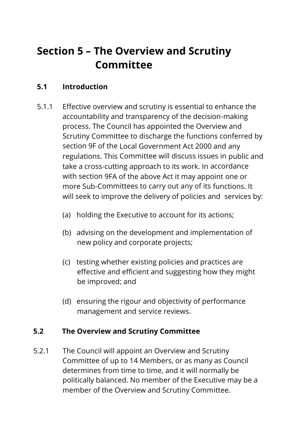# **Section 5 – The Overview and Scrutiny Committee**

# **5.1 Introduction**

- 5.1.1 Effective overview and scrutiny is essential to enhance the accountability and transparency of the decision-making process. The Council has appointed the Overview and Scrutiny Committee to discharge the functions conferred by section 9F of the Local Government Act 2000 and any regulations. This Committee will discuss issues in public and take a cross-cutting approach to its work. In accordance with section 9FA of the above Act it may appoint one or more Sub-Committees to carry out any of its functions. It will seek to improve the delivery of policies and services by:
	- (a) holding the Executive to account for its actions;
	- (b) advising on the development and implementation of new policy and corporate projects;
	- (c) testing whether existing policies and practices are effective and efficient and suggesting how they might be improved; and
	- (d) ensuring the rigour and objectivity of performance management and service reviews.

# **5.2 The Overview and Scrutiny Committee**

5.2.1 The Council will appoint an Overview and Scrutiny Committee of up to 14 Members, or as many as Council determines from time to time, and it will normally be politically balanced. No member of the Executive may be a member of the Overview and Scrutiny Committee.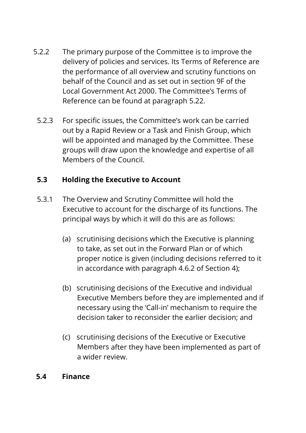- 5.2.2 The primary purpose of the Committee is to improve the delivery of policies and services. Its Terms of Reference are the performance of all overview and scrutiny functions on behalf of the Council and as set out in section 9F of the Local Government Act 2000. The Committee's Terms of Reference can be found at paragraph 5.22.
	- 5.2.3 For specific issues, the Committee's work can be carried out by a Rapid Review or a Task and Finish Group, which will be appointed and managed by the Committee. These groups will draw upon the knowledge and expertise of all Members of the Council.

# **5.3 Holding the Executive to Account**

- 5.3.1 The Overview and Scrutiny Committee will hold the Executive to account for the discharge of its functions. The principal ways by which it will do this are as follows:
	- (a) scrutinising decisions which the Executive is planning to take, as set out in the Forward Plan or of which proper notice is given (including decisions referred to it in accordance with paragraph 4.6.2 of Section 4);
	- (b) scrutinising decisions of the Executive and individual Executive Members before they are implemented and if necessary using the 'Call-in' mechanism to require the decision taker to reconsider the earlier decision; and
	- (c) scrutinising decisions of the Executive or Executive Members after they have been implemented as part of a wider review.

# **5.4 Finance**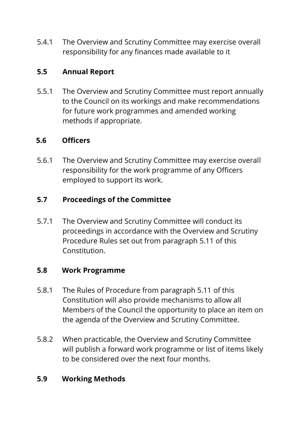5.4.1 The Overview and Scrutiny Committee may exercise overall responsibility for any finances made available to it

# **5.5 Annual Report**

5.5.1 The Overview and Scrutiny Committee must report annually to the Council on its workings and make recommendations for future work programmes and amended working methods if appropriate.

# **5.6 Officers**

5.6.1 The Overview and Scrutiny Committee may exercise overall responsibility for the work programme of any Officers employed to support its work.

# **5.7 Proceedings of the Committee**

5.7.1 The Overview and Scrutiny Committee will conduct its proceedings in accordance with the Overview and Scrutiny Procedure Rules set out from paragraph 5.11 of this Constitution.

### **5.8 Work Programme**

- 5.8.1 The Rules of Procedure from paragraph 5.11 of this Constitution will also provide mechanisms to allow all Members of the Council the opportunity to place an item on the agenda of the Overview and Scrutiny Committee.
- 5.8.2 When practicable, the Overview and Scrutiny Committee will publish a forward work programme or list of items likely to be considered over the next four months.

### **5.9 Working Methods**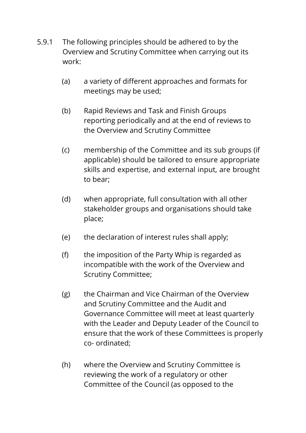- 5.9.1 The following principles should be adhered to by the Overview and Scrutiny Committee when carrying out its work:
	- (a) a variety of different approaches and formats for meetings may be used;
	- (b) Rapid Reviews and Task and Finish Groups reporting periodically and at the end of reviews to the Overview and Scrutiny Committee
	- (c) membership of the Committee and its sub groups (if applicable) should be tailored to ensure appropriate skills and expertise, and external input, are brought to bear;
	- (d) when appropriate, full consultation with all other stakeholder groups and organisations should take place;
	- (e) the declaration of interest rules shall apply;
	- (f) the imposition of the Party Whip is regarded as incompatible with the work of the Overview and Scrutiny Committee;
	- (g) the Chairman and Vice Chairman of the Overview and Scrutiny Committee and the Audit and Governance Committee will meet at least quarterly with the Leader and Deputy Leader of the Council to ensure that the work of these Committees is properly co- ordinated;
	- (h) where the Overview and Scrutiny Committee is reviewing the work of a regulatory or other Committee of the Council (as opposed to the